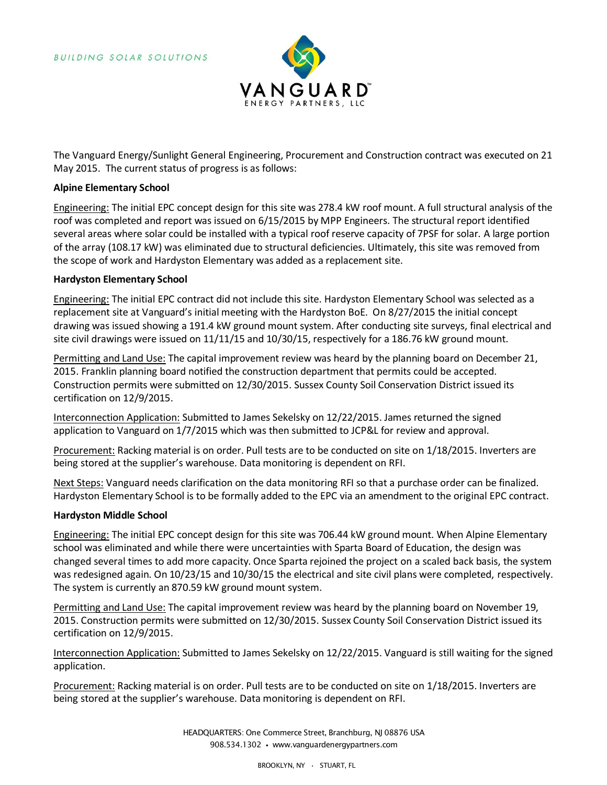

The Vanguard Energy/Sunlight General Engineering, Procurement and Construction contract was executed on 21 May 2015. The current status of progress is as follows:

## **Alpine Elementary School**

Engineering: The initial EPC concept design for this site was 278.4 kW roof mount. A full structural analysis of the roof was completed and report was issued on 6/15/2015 by MPP Engineers. The structural report identified several areas where solar could be installed with a typical roof reserve capacity of 7PSF for solar. A large portion of the array (108.17 kW) was eliminated due to structural deficiencies. Ultimately, this site was removed from the scope of work and Hardyston Elementary was added as a replacement site.

#### **Hardyston Elementary School**

Engineering: The initial EPC contract did not include this site. Hardyston Elementary School was selected as a replacement site at Vanguard's initial meeting with the Hardyston BoE. On 8/27/2015 the initial concept drawing was issued showing a 191.4 kW ground mount system. After conducting site surveys, final electrical and site civil drawings were issued on 11/11/15 and 10/30/15, respectively for a 186.76 kW ground mount.

Permitting and Land Use: The capital improvement review was heard by the planning board on December 21, 2015. Franklin planning board notified the construction department that permits could be accepted. Construction permits were submitted on 12/30/2015. Sussex County Soil Conservation District issued its certification on 12/9/2015.

Interconnection Application: Submitted to James Sekelsky on 12/22/2015. James returned the signed application to Vanguard on 1/7/2015 which was then submitted to JCP&L for review and approval.

Procurement: Racking material is on order. Pull tests are to be conducted on site on 1/18/2015. Inverters are being stored at the supplier's warehouse. Data monitoring is dependent on RFI.

Next Steps: Vanguard needs clarification on the data monitoring RFI so that a purchase order can be finalized. Hardyston Elementary School is to be formally added to the EPC via an amendment to the original EPC contract.

# **Hardyston Middle School**

Engineering: The initial EPC concept design for this site was 706.44 kW ground mount. When Alpine Elementary school was eliminated and while there were uncertainties with Sparta Board of Education, the design was changed several times to add more capacity. Once Sparta rejoined the project on a scaled back basis, the system was redesigned again. On 10/23/15 and 10/30/15 the electrical and site civil plans were completed, respectively. The system is currently an 870.59 kW ground mount system.

Permitting and Land Use: The capital improvement review was heard by the planning board on November 19, 2015. Construction permits were submitted on 12/30/2015. Sussex County Soil Conservation District issued its certification on 12/9/2015.

Interconnection Application: Submitted to James Sekelsky on 12/22/2015. Vanguard is still waiting for the signed application.

Procurement: Racking material is on order. Pull tests are to be conducted on site on 1/18/2015. Inverters are being stored at the supplier's warehouse. Data monitoring is dependent on RFI.

> HEADQUARTERS: One Commerce Street, Branchburg, NJ 08876 USA 908.534.1302 • www.vanguardenergypartners.com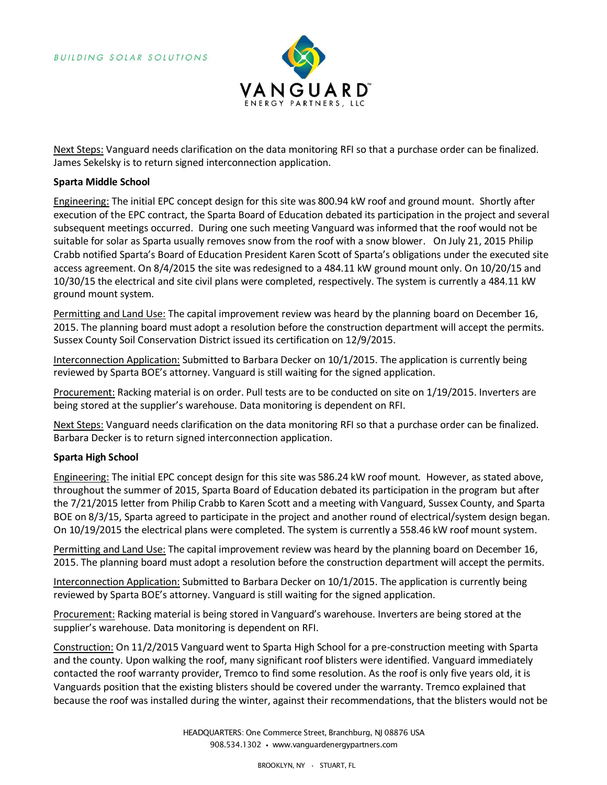

Next Steps: Vanguard needs clarification on the data monitoring RFI so that a purchase order can be finalized. James Sekelsky is to return signed interconnection application.

## **Sparta Middle School**

Engineering: The initial EPC concept design for this site was 800.94 kW roof and ground mount. Shortly after execution of the EPC contract, the Sparta Board of Education debated its participation in the project and several subsequent meetings occurred. During one such meeting Vanguard was informed that the roof would not be suitable for solar as Sparta usually removes snow from the roof with a snow blower. On July 21, 2015 Philip Crabb notified Sparta's Board of Education President Karen Scott of Sparta's obligations under the executed site access agreement. On 8/4/2015 the site was redesigned to a 484.11 kW ground mount only. On 10/20/15 and 10/30/15 the electrical and site civil plans were completed, respectively. The system is currently a 484.11 kW ground mount system.

Permitting and Land Use: The capital improvement review was heard by the planning board on December 16, 2015. The planning board must adopt a resolution before the construction department will accept the permits. Sussex County Soil Conservation District issued its certification on 12/9/2015.

Interconnection Application: Submitted to Barbara Decker on 10/1/2015. The application is currently being reviewed by Sparta BOE's attorney. Vanguard is still waiting for the signed application.

Procurement: Racking material is on order. Pull tests are to be conducted on site on 1/19/2015. Inverters are being stored at the supplier's warehouse. Data monitoring is dependent on RFI.

Next Steps: Vanguard needs clarification on the data monitoring RFI so that a purchase order can be finalized. Barbara Decker is to return signed interconnection application.

# **Sparta High School**

Engineering: The initial EPC concept design for this site was 586.24 kW roof mount. However, as stated above, throughout the summer of 2015, Sparta Board of Education debated its participation in the program but after the 7/21/2015 letter from Philip Crabb to Karen Scott and a meeting with Vanguard, Sussex County, and Sparta BOE on 8/3/15, Sparta agreed to participate in the project and another round of electrical/system design began. On 10/19/2015 the electrical plans were completed. The system is currently a 558.46 kW roof mount system.

Permitting and Land Use: The capital improvement review was heard by the planning board on December 16, 2015. The planning board must adopt a resolution before the construction department will accept the permits.

Interconnection Application: Submitted to Barbara Decker on 10/1/2015. The application is currently being reviewed by Sparta BOE's attorney. Vanguard is still waiting for the signed application.

Procurement: Racking material is being stored in Vanguard's warehouse. Inverters are being stored at the supplier's warehouse. Data monitoring is dependent on RFI.

Construction: On 11/2/2015 Vanguard went to Sparta High School for a pre-construction meeting with Sparta and the county. Upon walking the roof, many significant roof blisters were identified. Vanguard immediately contacted the roof warranty provider, Tremco to find some resolution. As the roof is only five years old, it is Vanguards position that the existing blisters should be covered under the warranty. Tremco explained that because the roof was installed during the winter, against their recommendations, that the blisters would not be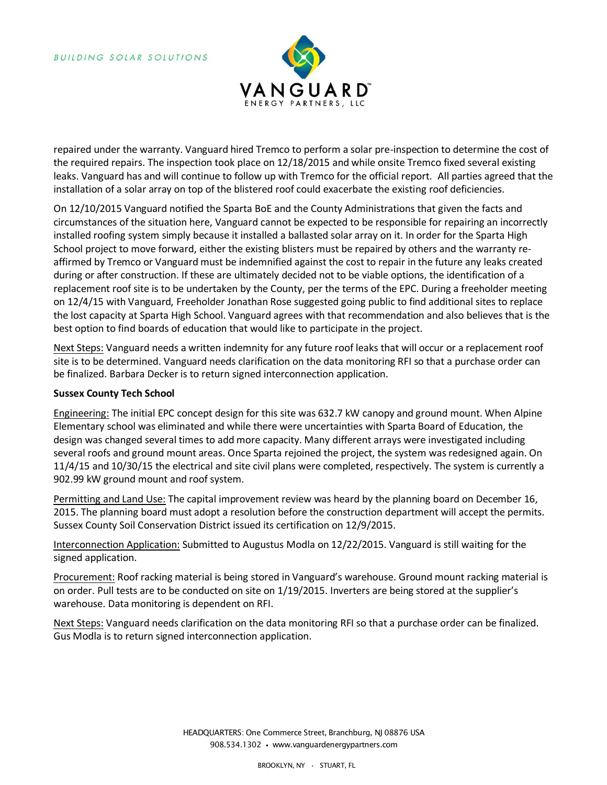

repaired under the warranty. Vanguard hired Tremco to perform a solar pre-inspection to determine the cost of the required repairs. The inspection took place on 12/18/2015 and while onsite Tremco fixed several existing leaks. Vanguard has and will continue to follow up with Tremco for the official report. All parties agreed that the installation of a solar array on top of the blistered roof could exacerbate the existing roof deficiencies.

On 12/10/2015 Vanguard notified the Sparta BoE and the County Administrations that given the facts and circumstances of the situation here, Vanguard cannot be expected to be responsible for repairing an incorrectly installed roofing system simply because it installed a ballasted solar array on it. In order for the Sparta High School project to move forward, either the existing blisters must be repaired by others and the warranty reaffirmed by Tremco or Vanguard must be indemnified against the cost to repair in the future any leaks created during or after construction. If these are ultimately decided not to be viable options, the identification of a replacement roof site is to be undertaken by the County, per the terms of the EPC. During a freeholder meeting on 12/4/15 with Vanguard, Freeholder Jonathan Rose suggested going public to find additional sites to replace the lost capacity at Sparta High School. Vanguard agrees with that recommendation and also believes that is the best option to find boards of education that would like to participate in the project.

Next Steps: Vanguard needs a written indemnity for any future roof leaks that will occur or a replacement roof site is to be determined. Vanguard needs clarification on the data monitoring RFI so that a purchase order can be finalized. Barbara Decker is to return signed interconnection application.

# **Sussex County Tech School**

Engineering: The initial EPC concept design for this site was 632.7 kW canopy and ground mount. When Alpine Elementary school was eliminated and while there were uncertainties with Sparta Board of Education, the design was changed several times to add more capacity. Many different arrays were investigated including several roofs and ground mount areas. Once Sparta rejoined the project, the system was redesigned again. On 11/4/15 and 10/30/15 the electrical and site civil plans were completed, respectively. The system is currently a 902.99 kW ground mount and roof system.

Permitting and Land Use: The capital improvement review was heard by the planning board on December 16, 2015. The planning board must adopt a resolution before the construction department will accept the permits. Sussex County Soil Conservation District issued its certification on 12/9/2015.

Interconnection Application: Submitted to Augustus Modla on 12/22/2015. Vanguard is still waiting for the signed application.

Procurement: Roof racking material is being stored in Vanguard's warehouse. Ground mount racking material is on order. Pull tests are to be conducted on site on 1/19/2015. Inverters are being stored at the supplier's warehouse. Data monitoring is dependent on RFI.

Next Steps: Vanguard needs clarification on the data monitoring RFI so that a purchase order can be finalized. Gus Modla is to return signed interconnection application.